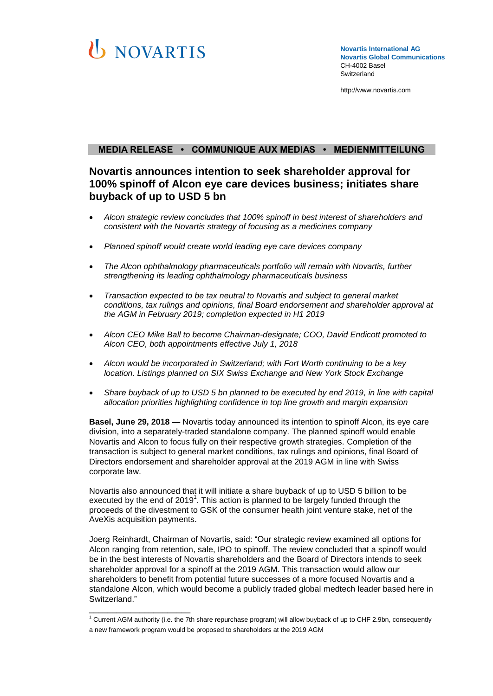

\_\_\_\_\_\_\_\_\_\_\_\_\_\_\_\_\_\_\_\_\_\_

**Novartis International AG Novartis Global Communications**  CH-4002 Basel Switzerland

[http://www.novartis.com](http://www.novartis.com/)

# **MEDIA RELEASE • COMMUNIQUE AUX MEDIAS • MEDIENMITTEILUNG**

# **Novartis announces intention to seek shareholder approval for 100% spinoff of Alcon eye care devices business; initiates share buyback of up to USD 5 bn**

- *Alcon strategic review concludes that 100% spinoff in best interest of shareholders and consistent with the Novartis strategy of focusing as a medicines company*
- *Planned spinoff would create world leading eye care devices company*
- *The Alcon ophthalmology pharmaceuticals portfolio will remain with Novartis, further strengthening its leading ophthalmology pharmaceuticals business*
- *Transaction expected to be tax neutral to Novartis and subject to general market conditions, tax rulings and opinions, final Board endorsement and shareholder approval at the AGM in February 2019; completion expected in H1 2019*
- *Alcon CEO Mike Ball to become Chairman-designate; COO, David Endicott promoted to Alcon CEO, both appointments effective July 1, 2018*
- *Alcon would be incorporated in Switzerland; with Fort Worth continuing to be a key location. Listings planned on SIX Swiss Exchange and New York Stock Exchange*
- *Share buyback of up to USD 5 bn planned to be executed by end 2019, in line with capital allocation priorities highlighting confidence in top line growth and margin expansion*

**Basel, June 29, 2018 —** Novartis today announced its intention to spinoff Alcon, its eye care division, into a separately-traded standalone company. The planned spinoff would enable Novartis and Alcon to focus fully on their respective growth strategies. Completion of the transaction is subject to general market conditions, tax rulings and opinions, final Board of Directors endorsement and shareholder approval at the 2019 AGM in line with Swiss corporate law.

Novartis also announced that it will initiate a share buyback of up to USD 5 billion to be executed by the end of 2019<sup>1</sup>. This action is planned to be largely funded through the proceeds of the divestment to GSK of the consumer health joint venture stake, net of the AveXis acquisition payments.

Joerg Reinhardt, Chairman of Novartis, said: "Our strategic review examined all options for Alcon ranging from retention, sale, IPO to spinoff. The review concluded that a spinoff would be in the best interests of Novartis shareholders and the Board of Directors intends to seek shareholder approval for a spinoff at the 2019 AGM. This transaction would allow our shareholders to benefit from potential future successes of a more focused Novartis and a standalone Alcon, which would become a publicly traded global medtech leader based here in Switzerland."

<sup>1</sup> Current AGM authority (i.e. the 7th share repurchase program) will allow buyback of up to CHF 2.9bn, consequently a new framework program would be proposed to shareholders at the 2019 AGM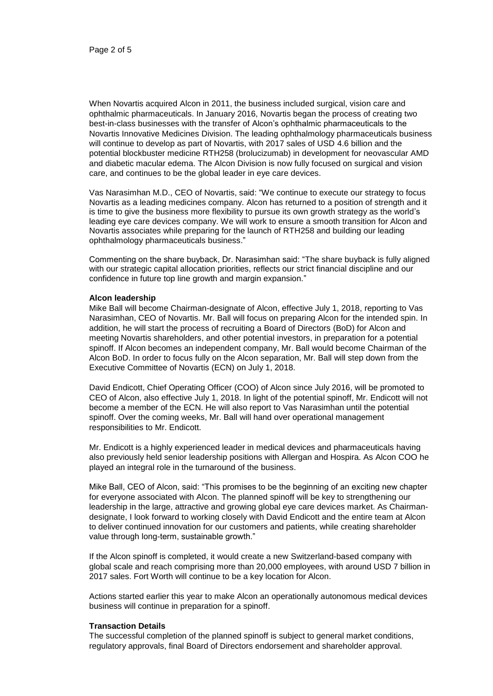When Novartis acquired Alcon in 2011, the business included surgical, vision care and ophthalmic pharmaceuticals. In January 2016, Novartis began the process of creating two best-in-class businesses with the transfer of Alcon's ophthalmic pharmaceuticals to the Novartis Innovative Medicines Division. The leading ophthalmology pharmaceuticals business will continue to develop as part of Novartis, with 2017 sales of USD 4.6 billion and the potential blockbuster medicine RTH258 (brolucizumab) in development for neovascular AMD and diabetic macular edema. The Alcon Division is now fully focused on surgical and vision care, and continues to be the global leader in eye care devices.

Vas Narasimhan M.D., CEO of Novartis, said: "We continue to execute our strategy to focus Novartis as a leading medicines company. Alcon has returned to a position of strength and it is time to give the business more flexibility to pursue its own growth strategy as the world's leading eye care devices company. We will work to ensure a smooth transition for Alcon and Novartis associates while preparing for the launch of RTH258 and building our leading ophthalmology pharmaceuticals business."

Commenting on the share buyback, Dr. Narasimhan said: "The share buyback is fully aligned with our strategic capital allocation priorities, reflects our strict financial discipline and our confidence in future top line growth and margin expansion."

## **Alcon leadership**

Mike Ball will become Chairman-designate of Alcon, effective July 1, 2018, reporting to Vas Narasimhan, CEO of Novartis. Mr. Ball will focus on preparing Alcon for the intended spin. In addition, he will start the process of recruiting a Board of Directors (BoD) for Alcon and meeting Novartis shareholders, and other potential investors, in preparation for a potential spinoff. If Alcon becomes an independent company, Mr. Ball would become Chairman of the Alcon BoD. In order to focus fully on the Alcon separation, Mr. Ball will step down from the Executive Committee of Novartis (ECN) on July 1, 2018.

David Endicott, Chief Operating Officer (COO) of Alcon since July 2016, will be promoted to CEO of Alcon, also effective July 1, 2018. In light of the potential spinoff, Mr. Endicott will not become a member of the ECN. He will also report to Vas Narasimhan until the potential spinoff. Over the coming weeks, Mr. Ball will hand over operational management responsibilities to Mr. Endicott.

Mr. Endicott is a highly experienced leader in medical devices and pharmaceuticals having also previously held senior leadership positions with Allergan and Hospira. As Alcon COO he played an integral role in the turnaround of the business.

Mike Ball, CEO of Alcon, said: "This promises to be the beginning of an exciting new chapter for everyone associated with Alcon. The planned spinoff will be key to strengthening our leadership in the large, attractive and growing global eye care devices market. As Chairmandesignate, I look forward to working closely with David Endicott and the entire team at Alcon to deliver continued innovation for our customers and patients, while creating shareholder value through long-term, sustainable growth."

If the Alcon spinoff is completed, it would create a new Switzerland-based company with global scale and reach comprising more than 20,000 employees, with around USD 7 billion in 2017 sales. Fort Worth will continue to be a key location for Alcon.

Actions started earlier this year to make Alcon an operationally autonomous medical devices business will continue in preparation for a spinoff.

## **Transaction Details**

The successful completion of the planned spinoff is subject to general market conditions, regulatory approvals, final Board of Directors endorsement and shareholder approval.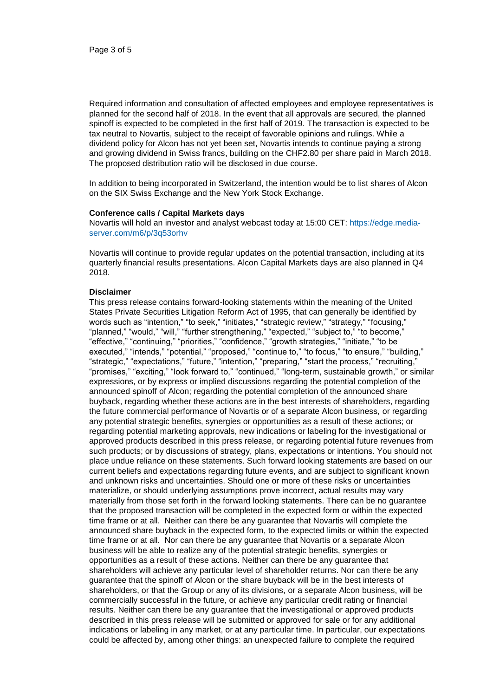Required information and consultation of affected employees and employee representatives is planned for the second half of 2018. In the event that all approvals are secured, the planned spinoff is expected to be completed in the first half of 2019. The transaction is expected to be tax neutral to Novartis, subject to the receipt of favorable opinions and rulings. While a dividend policy for Alcon has not yet been set, Novartis intends to continue paying a strong and growing dividend in Swiss francs, building on the CHF2.80 per share paid in March 2018. The proposed distribution ratio will be disclosed in due course.

In addition to being incorporated in Switzerland, the intention would be to list shares of Alcon on the SIX Swiss Exchange and the New York Stock Exchange.

## **Conference calls / Capital Markets days**

Novartis will hold an investor and analyst webcast today at 15:00 CET: [https://edge.media](https://urldefense.proofpoint.com/v2/url?u=https-3A__edge.media-2Dserver.com_m6_p_3q53orhv&d=DwMGaQ&c=ZbgFmJjg4pdtrnL2HUJUDw&r=Uw8x6aMToMDOthIZHDGPmaHKjcneTInfVEpdv3WdG-A&m=xd1EY0ySxAgvPjd4s7K6UGuHiAdyA1p-UoNtnI1F7vE&s=MTVHL4MfSnEQHTPRf3dfSZED5RVDfEDcNJQYLIz6WUY&e=)[server.com/m6/p/3q53orhv](https://urldefense.proofpoint.com/v2/url?u=https-3A__edge.media-2Dserver.com_m6_p_3q53orhv&d=DwMGaQ&c=ZbgFmJjg4pdtrnL2HUJUDw&r=Uw8x6aMToMDOthIZHDGPmaHKjcneTInfVEpdv3WdG-A&m=xd1EY0ySxAgvPjd4s7K6UGuHiAdyA1p-UoNtnI1F7vE&s=MTVHL4MfSnEQHTPRf3dfSZED5RVDfEDcNJQYLIz6WUY&e=)

Novartis will continue to provide regular updates on the potential transaction, including at its quarterly financial results presentations. Alcon Capital Markets days are also planned in Q4 2018.

## **Disclaimer**

This press release contains forward-looking statements within the meaning of the United States Private Securities Litigation Reform Act of 1995, that can generally be identified by words such as "intention," "to seek," "initiates," "strategic review," "strategy," "focusing," "planned," "would," "will," "further strengthening," "expected," "subject to," "to become," "effective," "continuing," "priorities," "confidence," "growth strategies," "initiate," "to be executed," "intends," "potential," "proposed," "continue to," "to focus," "to ensure," "building," "strategic," "expectations," "future," "intention," "preparing," "start the process," "recruiting," "promises," "exciting," "look forward to," "continued," "long-term, sustainable growth," or similar expressions, or by express or implied discussions regarding the potential completion of the announced spinoff of Alcon; regarding the potential completion of the announced share buyback, regarding whether these actions are in the best interests of shareholders, regarding the future commercial performance of Novartis or of a separate Alcon business, or regarding any potential strategic benefits, synergies or opportunities as a result of these actions; or regarding potential marketing approvals, new indications or labeling for the investigational or approved products described in this press release, or regarding potential future revenues from such products; or by discussions of strategy, plans, expectations or intentions. You should not place undue reliance on these statements. Such forward looking statements are based on our current beliefs and expectations regarding future events, and are subject to significant known and unknown risks and uncertainties. Should one or more of these risks or uncertainties materialize, or should underlying assumptions prove incorrect, actual results may vary materially from those set forth in the forward looking statements. There can be no guarantee that the proposed transaction will be completed in the expected form or within the expected time frame or at all. Neither can there be any guarantee that Novartis will complete the announced share buyback in the expected form, to the expected limits or within the expected time frame or at all. Nor can there be any guarantee that Novartis or a separate Alcon business will be able to realize any of the potential strategic benefits, synergies or opportunities as a result of these actions. Neither can there be any guarantee that shareholders will achieve any particular level of shareholder returns. Nor can there be any guarantee that the spinoff of Alcon or the share buyback will be in the best interests of shareholders, or that the Group or any of its divisions, or a separate Alcon business, will be commercially successful in the future, or achieve any particular credit rating or financial results. Neither can there be any guarantee that the investigational or approved products described in this press release will be submitted or approved for sale or for any additional indications or labeling in any market, or at any particular time. In particular, our expectations could be affected by, among other things: an unexpected failure to complete the required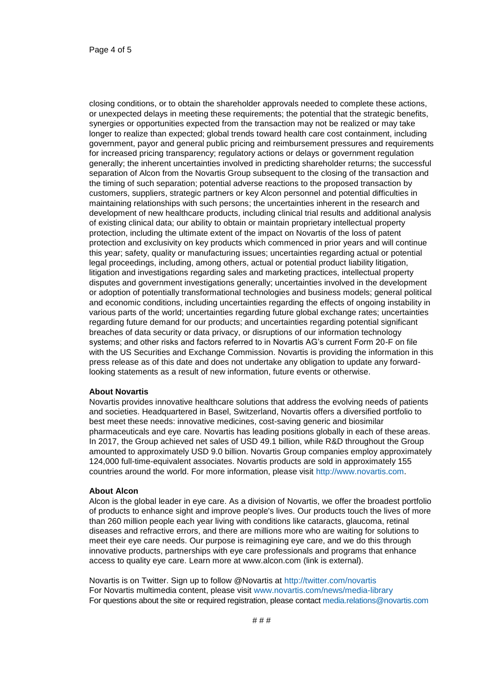closing conditions, or to obtain the shareholder approvals needed to complete these actions, or unexpected delays in meeting these requirements; the potential that the strategic benefits, synergies or opportunities expected from the transaction may not be realized or may take longer to realize than expected; global trends toward health care cost containment, including government, payor and general public pricing and reimbursement pressures and requirements for increased pricing transparency; regulatory actions or delays or government regulation generally; the inherent uncertainties involved in predicting shareholder returns; the successful separation of Alcon from the Novartis Group subsequent to the closing of the transaction and the timing of such separation; potential adverse reactions to the proposed transaction by customers, suppliers, strategic partners or key Alcon personnel and potential difficulties in maintaining relationships with such persons; the uncertainties inherent in the research and development of new healthcare products, including clinical trial results and additional analysis of existing clinical data; our ability to obtain or maintain proprietary intellectual property protection, including the ultimate extent of the impact on Novartis of the loss of patent protection and exclusivity on key products which commenced in prior years and will continue this year; safety, quality or manufacturing issues; uncertainties regarding actual or potential legal proceedings, including, among others, actual or potential product liability litigation, litigation and investigations regarding sales and marketing practices, intellectual property disputes and government investigations generally; uncertainties involved in the development or adoption of potentially transformational technologies and business models; general political and economic conditions, including uncertainties regarding the effects of ongoing instability in various parts of the world; uncertainties regarding future global exchange rates; uncertainties regarding future demand for our products; and uncertainties regarding potential significant breaches of data security or data privacy, or disruptions of our information technology systems; and other risks and factors referred to in Novartis AG's current Form 20-F on file with the US Securities and Exchange Commission. Novartis is providing the information in this press release as of this date and does not undertake any obligation to update any forwardlooking statements as a result of new information, future events or otherwise.

#### **About Novartis**

Novartis provides innovative healthcare solutions that address the evolving needs of patients and societies. Headquartered in Basel, Switzerland, Novartis offers a diversified portfolio to best meet these needs: innovative medicines, cost-saving generic and biosimilar pharmaceuticals and eye care. Novartis has leading positions globally in each of these areas. In 2017, the Group achieved net sales of USD 49.1 billion, while R&D throughout the Group amounted to approximately USD 9.0 billion. Novartis Group companies employ approximately 124,000 full-time-equivalent associates. Novartis products are sold in approximately 155 countries around the world. For more information, please visit [http://www.novartis.com.](http://www.novartis.com/)

#### **About Alcon**

Alcon is the global leader in eye care. As a division of Novartis, we offer the broadest portfolio of products to enhance sight and improve people's lives. Our products touch the lives of more than 260 million people each year living with conditions like cataracts, glaucoma, retinal diseases and refractive errors, and there are millions more who are waiting for solutions to meet their eye care needs. Our purpose is reimagining eye care, and we do this through innovative products, partnerships with eye care professionals and programs that enhance access to quality eye care. Learn more at [www.alcon.com](http://www.alcon.com/) (link is external).

Novartis is on Twitter. Sign up to follow @Novartis at<http://twitter.com/novartis> For Novartis multimedia content, please visit [www.novartis.com/news/media-library](http://www.novartis.com/news/media-library) For questions about the site or required registration, please contact [media.relations@novartis.com](mailto:media.relations@novartis.com)